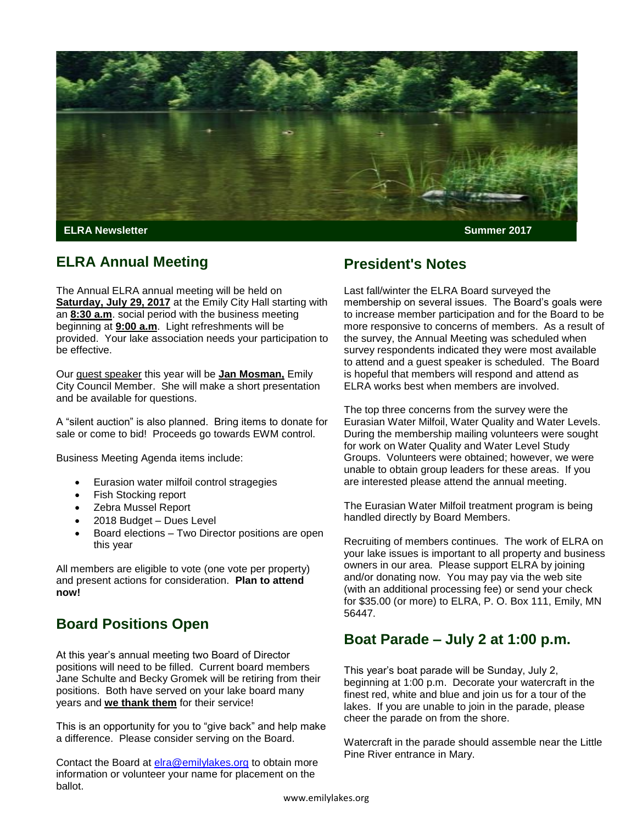

**Edition**

#### **ELRA Annual Meeting**

The Annual ELRA annual meeting will be held on **Saturday, July 29, 2017** at the Emily City Hall starting with an **8:30 a.m**. social period with the business meeting beginning at **9:00 a.m**. Light refreshments will be provided. Your lake association needs your participation to be effective.

Our guest speaker this year will be **Jan Mosman,** Emily City Council Member. She will make a short presentation and be available for questions.

A "silent auction" is also planned. Bring items to donate for sale or come to bid! Proceeds go towards EWM control.

Business Meeting Agenda items include:

- Eurasion water milfoil control stragegies
- Fish Stocking report
- Zebra Mussel Report
- 2018 Budget Dues Level
- Board elections Two Director positions are open this year

All members are eligible to vote (one vote per property) and present actions for consideration. **Plan to attend now!**

## **Board Positions Open**

At this year's annual meeting two Board of Director positions will need to be filled. Current board members Jane Schulte and Becky Gromek will be retiring from their positions. Both have served on your lake board many years and **we thank them** for their service!

This is an opportunity for you to "give back" and help make a difference. Please consider serving on the Board.

Contact the Board at [elra@emilylakes.org](mailto:elra@emilylakes.org) to obtain more information or volunteer your name for placement on the ballot.

## **President's Notes**

Last fall/winter the ELRA Board surveyed the membership on several issues. The Board's goals were to increase member participation and for the Board to be more responsive to concerns of members. As a result of the survey, the Annual Meeting was scheduled when survey respondents indicated they were most available to attend and a guest speaker is scheduled. The Board is hopeful that members will respond and attend as ELRA works best when members are involved.

The top three concerns from the survey were the Eurasian Water Milfoil, Water Quality and Water Levels. During the membership mailing volunteers were sought for work on Water Quality and Water Level Study Groups. Volunteers were obtained; however, we were unable to obtain group leaders for these areas. If you are interested please attend the annual meeting.

The Eurasian Water Milfoil treatment program is being handled directly by Board Members.

Recruiting of members continues. The work of ELRA on your lake issues is important to all property and business owners in our area. Please support ELRA by joining and/or donating now. You may pay via the web site (with an additional processing fee) or send your check for \$35.00 (or more) to ELRA, P. O. Box 111, Emily, MN 56447.

## **Boat Parade – July 2 at 1:00 p.m.**

This year's boat parade will be Sunday, July 2, beginning at 1:00 p.m. Decorate your watercraft in the finest red, white and blue and join us for a tour of the lakes. If you are unable to join in the parade, please cheer the parade on from the shore.

Watercraft in the parade should assemble near the Little Pine River entrance in Mary.